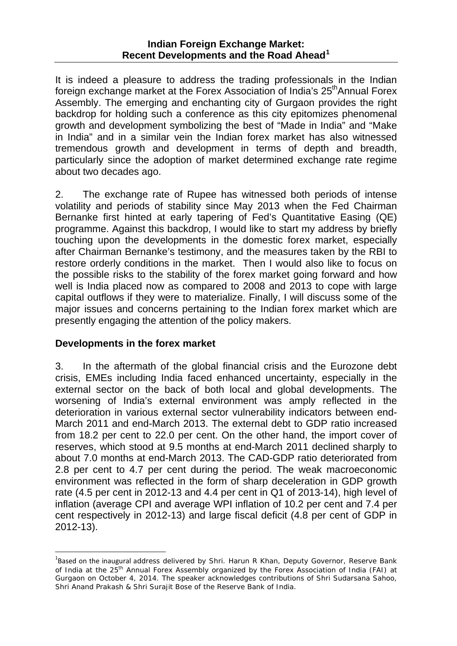### **Indian Foreign Exchange Market: Recent Developments and the Road Ahead[1](#page-0-0)**

It is indeed a pleasure to address the trading professionals in the Indian foreign exchange market at the Forex Association of India's 25<sup>th</sup>Annual Forex Assembly. The emerging and enchanting city of Gurgaon provides the right backdrop for holding such a conference as this city epitomizes phenomenal growth and development symbolizing the best of "Made in India" and "Make in India" and in a similar vein the Indian forex market has also witnessed tremendous growth and development in terms of depth and breadth, particularly since the adoption of market determined exchange rate regime about two decades ago.

2. The exchange rate of Rupee has witnessed both periods of intense volatility and periods of stability since May 2013 when the Fed Chairman Bernanke first hinted at early tapering of Fed's Quantitative Easing (QE) programme. Against this backdrop, I would like to start my address by briefly touching upon the developments in the domestic forex market, especially after Chairman Bernanke's testimony, and the measures taken by the RBI to restore orderly conditions in the market. Then I would also like to focus on the possible risks to the stability of the forex market going forward and how well is India placed now as compared to 2008 and 2013 to cope with large capital outflows if they were to materialize. Finally, I will discuss some of the major issues and concerns pertaining to the Indian forex market which are presently engaging the attention of the policy makers.

## **Developments in the forex market**

3. In the aftermath of the global financial crisis and the Eurozone debt crisis, EMEs including India faced enhanced uncertainty, especially in the external sector on the back of both local and global developments. The worsening of India's external environment was amply reflected in the deterioration in various external sector vulnerability indicators between end-March 2011 and end-March 2013. The external debt to GDP ratio increased from 18.2 per cent to 22.0 per cent. On the other hand, the import cover of reserves, which stood at 9.5 months at end-March 2011 declined sharply to about 7.0 months at end-March 2013. The CAD-GDP ratio deteriorated from 2.8 per cent to 4.7 per cent during the period. The weak macroeconomic environment was reflected in the form of sharp deceleration in GDP growth rate (4.5 per cent in 2012-13 and 4.4 per cent in Q1 of 2013-14), high level of inflation (average CPI and average WPI inflation of 10.2 per cent and 7.4 per cent respectively in 2012-13) and large fiscal deficit (4.8 per cent of GDP in 2012-13).

<span id="page-0-0"></span><sup>&</sup>lt;sup>1</sup>Based on the inaugural address delivered by Shri. Harun R Khan, Deputy Governor, Reserve Bank of India at the 25<sup>th</sup> Annual Forex Assembly organized by the Forex Association of India (FAI) at Gurgaon on October 4, 2014. The speaker acknowledges contributions of Shri Sudarsana Sahoo, Shri Anand Prakash & Shri Surajit Bose of the Reserve Bank of India.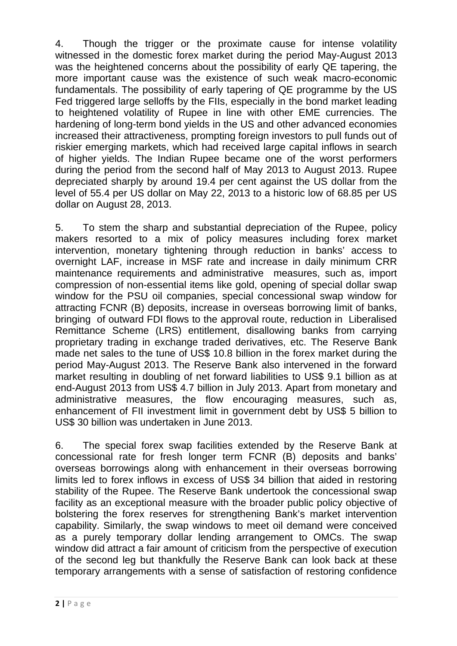4. Though the trigger or the proximate cause for intense volatility witnessed in the domestic forex market during the period May-August 2013 was the heightened concerns about the possibility of early QE tapering, the more important cause was the existence of such weak macro-economic fundamentals. The possibility of early tapering of QE programme by the US Fed triggered large selloffs by the FIIs, especially in the bond market leading to heightened volatility of Rupee in line with other EME currencies. The hardening of long-term bond yields in the US and other advanced economies increased their attractiveness, prompting foreign investors to pull funds out of riskier emerging markets, which had received large capital inflows in search of higher yields. The Indian Rupee became one of the worst performers during the period from the second half of May 2013 to August 2013. Rupee depreciated sharply by around 19.4 per cent against the US dollar from the level of 55.4 per US dollar on May 22, 2013 to a historic low of 68.85 per US dollar on August 28, 2013.

5. To stem the sharp and substantial depreciation of the Rupee, policy makers resorted to a mix of policy measures including forex market intervention, monetary tightening through reduction in banks' access to overnight LAF, increase in MSF rate and increase in daily minimum CRR maintenance requirements and administrative measures, such as, import compression of non-essential items like gold, opening of special dollar swap window for the PSU oil companies, special concessional swap window for attracting FCNR (B) deposits, increase in overseas borrowing limit of banks, bringing of outward FDI flows to the approval route, reduction in Liberalised Remittance Scheme (LRS) entitlement, disallowing banks from carrying proprietary trading in exchange traded derivatives, etc. The Reserve Bank made net sales to the tune of US\$ 10.8 billion in the forex market during the period May-August 2013. The Reserve Bank also intervened in the forward market resulting in doubling of net forward liabilities to US\$ 9.1 billion as at end-August 2013 from US\$ 4.7 billion in July 2013. Apart from monetary and administrative measures, the flow encouraging measures, such as, enhancement of FII investment limit in government debt by US\$ 5 billion to US\$ 30 billion was undertaken in June 2013.

6. The special forex swap facilities extended by the Reserve Bank at concessional rate for fresh longer term FCNR (B) deposits and banks' overseas borrowings along with enhancement in their overseas borrowing limits led to forex inflows in excess of US\$ 34 billion that aided in restoring stability of the Rupee. The Reserve Bank undertook the concessional swap facility as an exceptional measure with the broader public policy objective of bolstering the forex reserves for strengthening Bank's market intervention capability. Similarly, the swap windows to meet oil demand were conceived as a purely temporary dollar lending arrangement to OMCs. The swap window did attract a fair amount of criticism from the perspective of execution of the second leg but thankfully the Reserve Bank can look back at these temporary arrangements with a sense of satisfaction of restoring confidence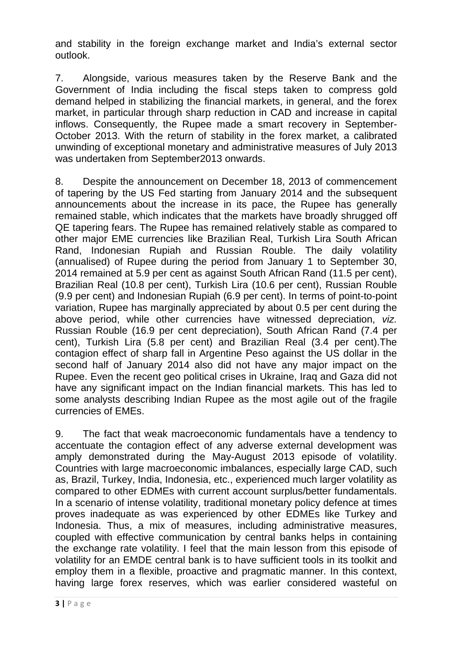and stability in the foreign exchange market and India's external sector outlook.

7. Alongside, various measures taken by the Reserve Bank and the Government of India including the fiscal steps taken to compress gold demand helped in stabilizing the financial markets, in general, and the forex market, in particular through sharp reduction in CAD and increase in capital inflows. Consequently, the Rupee made a smart recovery in September-October 2013. With the return of stability in the forex market, a calibrated unwinding of exceptional monetary and administrative measures of July 2013 was undertaken from September2013 onwards.

8. Despite the announcement on December 18, 2013 of commencement of tapering by the US Fed starting from January 2014 and the subsequent announcements about the increase in its pace, the Rupee has generally remained stable, which indicates that the markets have broadly shrugged off QE tapering fears. The Rupee has remained relatively stable as compared to other major EME currencies like Brazilian Real, Turkish Lira South African Rand, Indonesian Rupiah and Russian Rouble. The daily volatility (annualised) of Rupee during the period from January 1 to September 30, 2014 remained at 5.9 per cent as against South African Rand (11.5 per cent), Brazilian Real (10.8 per cent), Turkish Lira (10.6 per cent), Russian Rouble (9.9 per cent) and Indonesian Rupiah (6.9 per cent). In terms of point-to-point variation, Rupee has marginally appreciated by about 0.5 per cent during the above period, while other currencies have witnessed depreciation, *viz.* Russian Rouble (16.9 per cent depreciation), South African Rand (7.4 per cent), Turkish Lira (5.8 per cent) and Brazilian Real (3.4 per cent).The contagion effect of sharp fall in Argentine Peso against the US dollar in the second half of January 2014 also did not have any major impact on the Rupee. Even the recent geo political crises in Ukraine, Iraq and Gaza did not have any significant impact on the Indian financial markets. This has led to some analysts describing Indian Rupee as the most agile out of the fragile currencies of EMEs.

9. The fact that weak macroeconomic fundamentals have a tendency to accentuate the contagion effect of any adverse external development was amply demonstrated during the May-August 2013 episode of volatility. Countries with large macroeconomic imbalances, especially large CAD, such as, Brazil, Turkey, India, Indonesia, etc., experienced much larger volatility as compared to other EDMEs with current account surplus/better fundamentals. In a scenario of intense volatility, traditional monetary policy defence at times proves inadequate as was experienced by other EDMEs like Turkey and Indonesia. Thus, a mix of measures, including administrative measures, coupled with effective communication by central banks helps in containing the exchange rate volatility. I feel that the main lesson from this episode of volatility for an EMDE central bank is to have sufficient tools in its toolkit and employ them in a flexible, proactive and pragmatic manner. In this context, having large forex reserves, which was earlier considered wasteful on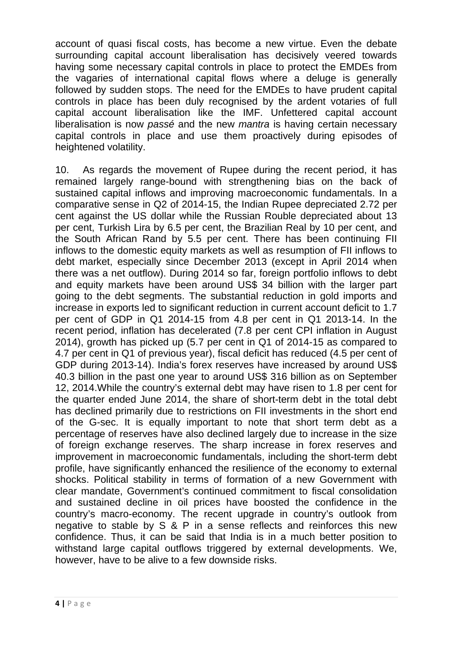account of quasi fiscal costs, has become a new virtue. Even the debate surrounding capital account liberalisation has decisively veered towards having some necessary capital controls in place to protect the EMDEs from the vagaries of international capital flows where a deluge is generally followed by sudden stops. The need for the EMDEs to have prudent capital controls in place has been duly recognised by the ardent votaries of full capital account liberalisation like the IMF. Unfettered capital account liberalisation is now *passé* and the new *mantra* is having certain necessary capital controls in place and use them proactively during episodes of heightened volatility.

10. As regards the movement of Rupee during the recent period, it has remained largely range-bound with strengthening bias on the back of sustained capital inflows and improving macroeconomic fundamentals. In a comparative sense in Q2 of 2014-15, the Indian Rupee depreciated 2.72 per cent against the US dollar while the Russian Rouble depreciated about 13 per cent, Turkish Lira by 6.5 per cent, the Brazilian Real by 10 per cent, and the South African Rand by 5.5 per cent. There has been continuing FII inflows to the domestic equity markets as well as resumption of FII inflows to debt market, especially since December 2013 (except in April 2014 when there was a net outflow). During 2014 so far, foreign portfolio inflows to debt and equity markets have been around US\$ 34 billion with the larger part going to the debt segments. The substantial reduction in gold imports and increase in exports led to significant reduction in current account deficit to 1.7 per cent of GDP in Q1 2014-15 from 4.8 per cent in Q1 2013-14. In the recent period, inflation has decelerated (7.8 per cent CPI inflation in August 2014), growth has picked up (5.7 per cent in Q1 of 2014-15 as compared to 4.7 per cent in Q1 of previous year), fiscal deficit has reduced (4.5 per cent of GDP during 2013-14). India's forex reserves have increased by around US\$ 40.3 billion in the past one year to around US\$ 316 billion as on September 12, 2014.While the country's external debt may have risen to 1.8 per cent for the quarter ended June 2014, the share of short-term debt in the total debt has declined primarily due to restrictions on FII investments in the short end of the G-sec. It is equally important to note that short term debt as a percentage of reserves have also declined largely due to increase in the size of foreign exchange reserves. The sharp increase in forex reserves and improvement in macroeconomic fundamentals, including the short-term debt profile, have significantly enhanced the resilience of the economy to external shocks. Political stability in terms of formation of a new Government with clear mandate, Government's continued commitment to fiscal consolidation and sustained decline in oil prices have boosted the confidence in the country's macro-economy. The recent upgrade in country's outlook from negative to stable by S & P in a sense reflects and reinforces this new confidence. Thus, it can be said that India is in a much better position to withstand large capital outflows triggered by external developments. We, however, have to be alive to a few downside risks.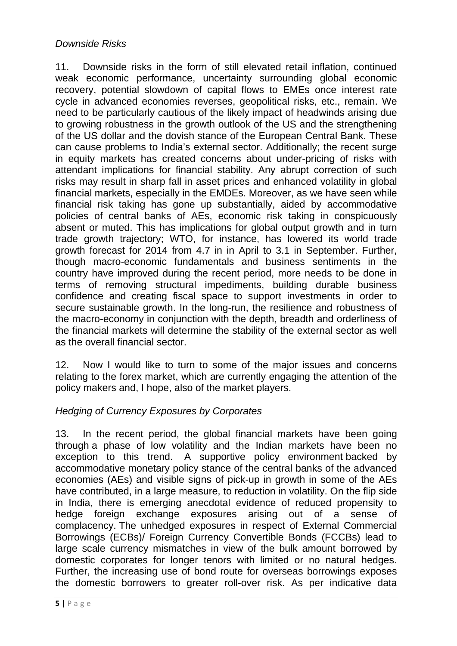# *Downside Risks*

11. Downside risks in the form of still elevated retail inflation, continued weak economic performance, uncertainty surrounding global economic recovery, potential slowdown of capital flows to EMEs once interest rate cycle in advanced economies reverses, geopolitical risks, etc., remain. We need to be particularly cautious of the likely impact of headwinds arising due to growing robustness in the growth outlook of the US and the strengthening of the US dollar and the dovish stance of the European Central Bank. These can cause problems to India's external sector. Additionally; the recent surge in equity markets has created concerns about under-pricing of risks with attendant implications for financial stability. Any abrupt correction of such risks may result in sharp fall in asset prices and enhanced volatility in global financial markets, especially in the EMDEs. Moreover, as we have seen while financial risk taking has gone up substantially, aided by accommodative policies of central banks of AEs, economic risk taking in conspicuously absent or muted. This has implications for global output growth and in turn trade growth trajectory; WTO, for instance, has lowered its world trade growth forecast for 2014 from 4.7 in in April to 3.1 in September. Further, though macro-economic fundamentals and business sentiments in the country have improved during the recent period, more needs to be done in terms of removing structural impediments, building durable business confidence and creating fiscal space to support investments in order to secure sustainable growth. In the long-run, the resilience and robustness of the macro-economy in conjunction with the depth, breadth and orderliness of the financial markets will determine the stability of the external sector as well as the overall financial sector.

12. Now I would like to turn to some of the major issues and concerns relating to the forex market, which are currently engaging the attention of the policy makers and, I hope, also of the market players.

## *Hedging of Currency Exposures by Corporates*

13. In the recent period, the global financial markets have been going through a phase of low volatility and the Indian markets have been no exception to this trend. A supportive policy environment backed by accommodative monetary policy stance of the central banks of the advanced economies (AEs) and visible signs of pick-up in growth in some of the AEs have contributed, in a large measure, to reduction in volatility. On the flip side in India, there is emerging anecdotal evidence of reduced propensity to hedge foreign exchange exposures arising out of a sense of complacency. The unhedged exposures in respect of External Commercial Borrowings (ECBs)/ Foreign Currency Convertible Bonds (FCCBs) lead to large scale currency mismatches in view of the bulk amount borrowed by domestic corporates for longer tenors with limited or no natural hedges. Further, the increasing use of bond route for overseas borrowings exposes the domestic borrowers to greater roll-over risk. As per indicative data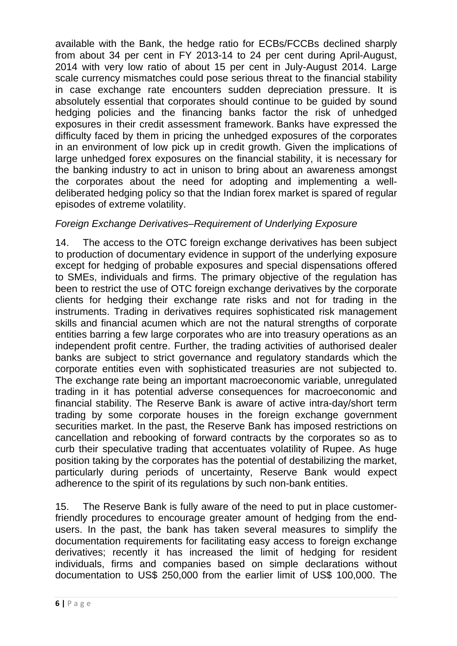available with the Bank, the hedge ratio for ECBs/FCCBs declined sharply from about 34 per cent in FY 2013-14 to 24 per cent during April-August, 2014 with very low ratio of about 15 per cent in July-August 2014. Large scale currency mismatches could pose serious threat to the financial stability in case exchange rate encounters sudden depreciation pressure. It is absolutely essential that corporates should continue to be guided by sound hedging policies and the financing banks factor the risk of unhedged exposures in their credit assessment framework. Banks have expressed the difficulty faced by them in pricing the unhedged exposures of the corporates in an environment of low pick up in credit growth. Given the implications of large unhedged forex exposures on the financial stability, it is necessary for the banking industry to act in unison to bring about an awareness amongst the corporates about the need for adopting and implementing a welldeliberated hedging policy so that the Indian forex market is spared of regular episodes of extreme volatility.

# *Foreign Exchange Derivatives–Requirement of Underlying Exposure*

14. The access to the OTC foreign exchange derivatives has been subject to production of documentary evidence in support of the underlying exposure except for hedging of probable exposures and special dispensations offered to SMEs, individuals and firms. The primary objective of the regulation has been to restrict the use of OTC foreign exchange derivatives by the corporate clients for hedging their exchange rate risks and not for trading in the instruments. Trading in derivatives requires sophisticated risk management skills and financial acumen which are not the natural strengths of corporate entities barring a few large corporates who are into treasury operations as an independent profit centre. Further, the trading activities of authorised dealer banks are subject to strict governance and regulatory standards which the corporate entities even with sophisticated treasuries are not subjected to. The exchange rate being an important macroeconomic variable, unregulated trading in it has potential adverse consequences for macroeconomic and financial stability. The Reserve Bank is aware of active intra-day/short term trading by some corporate houses in the foreign exchange government securities market. In the past, the Reserve Bank has imposed restrictions on cancellation and rebooking of forward contracts by the corporates so as to curb their speculative trading that accentuates volatility of Rupee. As huge position taking by the corporates has the potential of destabilizing the market, particularly during periods of uncertainty, Reserve Bank would expect adherence to the spirit of its regulations by such non-bank entities.

15. The Reserve Bank is fully aware of the need to put in place customerfriendly procedures to encourage greater amount of hedging from the endusers. In the past, the bank has taken several measures to simplify the documentation requirements for facilitating easy access to foreign exchange derivatives; recently it has increased the limit of hedging for resident individuals, firms and companies based on simple declarations without documentation to US\$ 250,000 from the earlier limit of US\$ 100,000. The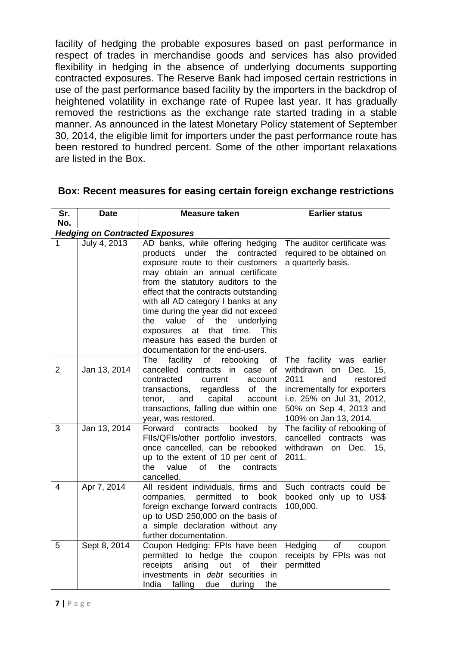facility of hedging the probable exposures based on past performance in respect of trades in merchandise goods and services has also provided flexibility in hedging in the absence of underlying documents supporting contracted exposures. The Reserve Bank had imposed certain restrictions in use of the past performance based facility by the importers in the backdrop of heightened volatility in exchange rate of Rupee last year. It has gradually removed the restrictions as the exchange rate started trading in a stable manner. As announced in the latest Monetary Policy statement of September 30, 2014, the eligible limit for importers under the past performance route has been restored to hundred percent. Some of the other important relaxations are listed in the Box.

| Sr.            | <b>Date</b>                            | <b>Measure taken</b>                                                                                                                                                                                                                                                                                                                                                                                                                                                         | <b>Earlier status</b>                                                                                                                                                                                |  |  |
|----------------|----------------------------------------|------------------------------------------------------------------------------------------------------------------------------------------------------------------------------------------------------------------------------------------------------------------------------------------------------------------------------------------------------------------------------------------------------------------------------------------------------------------------------|------------------------------------------------------------------------------------------------------------------------------------------------------------------------------------------------------|--|--|
| No.            |                                        |                                                                                                                                                                                                                                                                                                                                                                                                                                                                              |                                                                                                                                                                                                      |  |  |
|                | <b>Hedging on Contracted Exposures</b> |                                                                                                                                                                                                                                                                                                                                                                                                                                                                              |                                                                                                                                                                                                      |  |  |
| 1              | July 4, 2013                           | AD banks, while offering hedging<br>products under the contracted<br>exposure route to their customers<br>may obtain an annual certificate<br>from the statutory auditors to the<br>effect that the contracts outstanding<br>with all AD category I banks at any<br>time during the year did not exceed<br>value<br>the<br>of<br>the<br>underlying<br>that<br>time.<br><b>This</b><br>exposures<br>at<br>measure has eased the burden of<br>documentation for the end-users. | The auditor certificate was<br>required to be obtained on<br>a quarterly basis.                                                                                                                      |  |  |
| $\overline{2}$ | Jan 13, 2014                           | facility of rebooking<br>The<br>of<br>cancelled contracts in case<br>of<br>contracted<br>current<br>account<br>transactions, regardless of the<br>capital<br>tenor,<br>and<br>account<br>transactions, falling due within one<br>year, was restored.                                                                                                                                                                                                                         | The facility was<br>earlier<br>15,<br>withdrawn on<br>Dec.<br>2011<br>and<br>restored<br>incrementally for exporters<br>i.e. 25% on Jul 31, 2012,<br>50% on Sep 4, 2013 and<br>100% on Jan 13, 2014. |  |  |
| 3              | Jan 13, 2014                           | Forward<br>contracts<br>booked<br>by<br>FIIs/QFIs/other portfolio investors,<br>once cancelled, can be rebooked<br>up to the extent of 10 per cent of<br>the<br>value<br><b>of</b><br>the<br>contracts<br>cancelled.                                                                                                                                                                                                                                                         | The facility of rebooking of<br>cancelled contracts was<br>withdrawn<br>on Dec.<br>15.<br>2011.                                                                                                      |  |  |
| 4              | Apr 7, 2014                            | All resident individuals, firms and<br>companies, permitted<br>book<br>to<br>foreign exchange forward contracts<br>up to USD 250,000 on the basis of<br>a simple declaration without any<br>further documentation.                                                                                                                                                                                                                                                           | Such contracts could be<br>booked only up to US\$<br>100,000.                                                                                                                                        |  |  |
| 5              | Sept 8, 2014                           | Coupon Hedging: FPIs have been<br>permitted to hedge the coupon<br>receipts arising out<br>their<br>of<br>investments in debt securities in<br>India<br>falling<br>the<br>due<br>during                                                                                                                                                                                                                                                                                      | Hedging of coupon<br>receipts by FPIs was not<br>permitted                                                                                                                                           |  |  |

#### **Box: Recent measures for easing certain foreign exchange restrictions**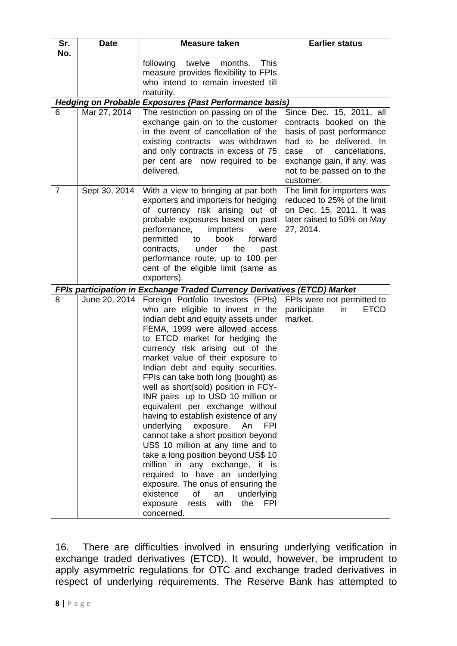| Sr.<br>No. | <b>Date</b>                                                   | <b>Measure taken</b>                                                                                                                                                                                                                                                                                                                                                                                                                                                                                                                                                                                                                                                                                                                                                                                                                                                              | <b>Earlier status</b>                                                                                                                                                                                                |  |  |
|------------|---------------------------------------------------------------|-----------------------------------------------------------------------------------------------------------------------------------------------------------------------------------------------------------------------------------------------------------------------------------------------------------------------------------------------------------------------------------------------------------------------------------------------------------------------------------------------------------------------------------------------------------------------------------------------------------------------------------------------------------------------------------------------------------------------------------------------------------------------------------------------------------------------------------------------------------------------------------|----------------------------------------------------------------------------------------------------------------------------------------------------------------------------------------------------------------------|--|--|
|            |                                                               | following twelve<br><b>This</b><br>months.<br>measure provides flexibility to FPIs<br>who intend to remain invested till<br>maturity.                                                                                                                                                                                                                                                                                                                                                                                                                                                                                                                                                                                                                                                                                                                                             |                                                                                                                                                                                                                      |  |  |
|            | <b>Hedging on Probable Exposures (Past Performance basis)</b> |                                                                                                                                                                                                                                                                                                                                                                                                                                                                                                                                                                                                                                                                                                                                                                                                                                                                                   |                                                                                                                                                                                                                      |  |  |
| 6          | Mar 27, 2014                                                  | The restriction on passing on of the<br>exchange gain on to the customer<br>in the event of cancellation of the<br>existing contracts was withdrawn<br>and only contracts in excess of 75<br>per cent are now required to be<br>delivered.                                                                                                                                                                                                                                                                                                                                                                                                                                                                                                                                                                                                                                        | Since Dec. 15, 2011, all<br>contracts booked on the<br>basis of past performance<br>had to be delivered. In<br>cancellations,<br>of<br>case<br>exchange gain, if any, was<br>not to be passed on to the<br>customer. |  |  |
| 7          | Sept 30, 2014                                                 | With a view to bringing at par both<br>exporters and importers for hedging<br>of currency risk arising out of<br>probable exposures based on past<br>performance,<br>importers<br>were<br>permitted<br>book<br>forward<br>to<br>contracts,<br>under<br>the<br>past<br>performance route, up to 100 per<br>cent of the eligible limit (same as<br>exporters).                                                                                                                                                                                                                                                                                                                                                                                                                                                                                                                      | The limit for importers was<br>reduced to 25% of the limit<br>on Dec. 15, 2011. It was<br>later raised to 50% on May<br>27, 2014.                                                                                    |  |  |
|            |                                                               | <b>FPIs participation in Exchange Traded Currency Derivatives (ETCD) Market</b>                                                                                                                                                                                                                                                                                                                                                                                                                                                                                                                                                                                                                                                                                                                                                                                                   |                                                                                                                                                                                                                      |  |  |
| 8          | June 20, 2014                                                 | Foreign Portfolio Investors (FPIs)<br>who are eligible to invest in the<br>Indian debt and equity assets under<br>FEMA, 1999 were allowed access<br>to ETCD market for hedging the<br>currency risk arising out of the<br>market value of their exposure to<br>Indian debt and equity securities.<br>FPIs can take both long (bought) as<br>well as short(sold) position in FCY-<br>INR pairs up to USD 10 million or<br>equivalent per exchange without<br>having to establish existence of any<br>underlying exposure.<br><b>FPI</b><br>An<br>cannot take a short position beyond<br>US\$ 10 million at any time and to<br>take a long position beyond US\$ 10<br>million in any exchange, it is<br>required to have an underlying<br>exposure. The onus of ensuring the<br>existence<br>underlying<br>of<br>an<br>rests<br>with<br>the<br><b>FPI</b><br>exposure<br>concerned. | FPIs were not permitted to<br>participate<br><b>ETCD</b><br>in<br>market.                                                                                                                                            |  |  |

16. There are difficulties involved in ensuring underlying verification in exchange traded derivatives (ETCD). It would, however, be imprudent to apply asymmetric regulations for OTC and exchange traded derivatives in respect of underlying requirements. The Reserve Bank has attempted to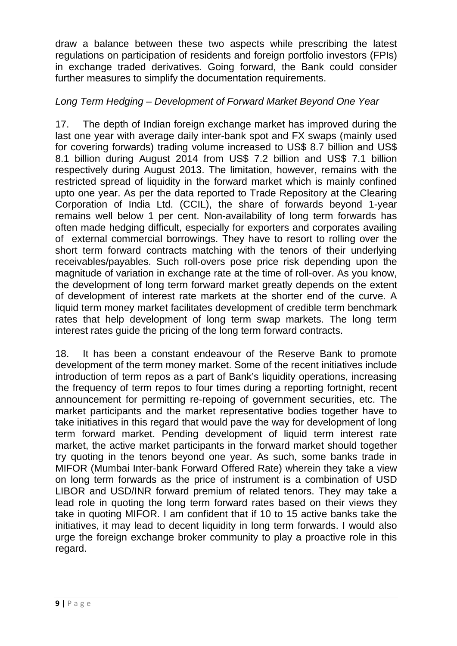draw a balance between these two aspects while prescribing the latest regulations on participation of residents and foreign portfolio investors (FPIs) in exchange traded derivatives. Going forward, the Bank could consider further measures to simplify the documentation requirements.

# *Long Term Hedging – Development of Forward Market Beyond One Year*

17. The depth of Indian foreign exchange market has improved during the last one year with average daily inter-bank spot and FX swaps (mainly used for covering forwards) trading volume increased to US\$ 8.7 billion and US\$ 8.1 billion during August 2014 from US\$ 7.2 billion and US\$ 7.1 billion respectively during August 2013. The limitation, however, remains with the restricted spread of liquidity in the forward market which is mainly confined upto one year. As per the data reported to Trade Repository at the Clearing Corporation of India Ltd. (CCIL), the share of forwards beyond 1-year remains well below 1 per cent. Non-availability of long term forwards has often made hedging difficult, especially for exporters and corporates availing of external commercial borrowings. They have to resort to rolling over the short term forward contracts matching with the tenors of their underlying receivables/payables. Such roll-overs pose price risk depending upon the magnitude of variation in exchange rate at the time of roll-over. As you know, the development of long term forward market greatly depends on the extent of development of interest rate markets at the shorter end of the curve. A liquid term money market facilitates development of credible term benchmark rates that help development of long term swap markets. The long term interest rates guide the pricing of the long term forward contracts.

18. It has been a constant endeavour of the Reserve Bank to promote development of the term money market. Some of the recent initiatives include introduction of term repos as a part of Bank's liquidity operations, increasing the frequency of term repos to four times during a reporting fortnight, recent announcement for permitting re-repoing of government securities, etc. The market participants and the market representative bodies together have to take initiatives in this regard that would pave the way for development of long term forward market. Pending development of liquid term interest rate market, the active market participants in the forward market should together try quoting in the tenors beyond one year. As such, some banks trade in MIFOR (Mumbai Inter-bank Forward Offered Rate) wherein they take a view on long term forwards as the price of instrument is a combination of USD LIBOR and USD/INR forward premium of related tenors. They may take a lead role in quoting the long term forward rates based on their views they take in quoting MIFOR. I am confident that if 10 to 15 active banks take the initiatives, it may lead to decent liquidity in long term forwards. I would also urge the foreign exchange broker community to play a proactive role in this regard.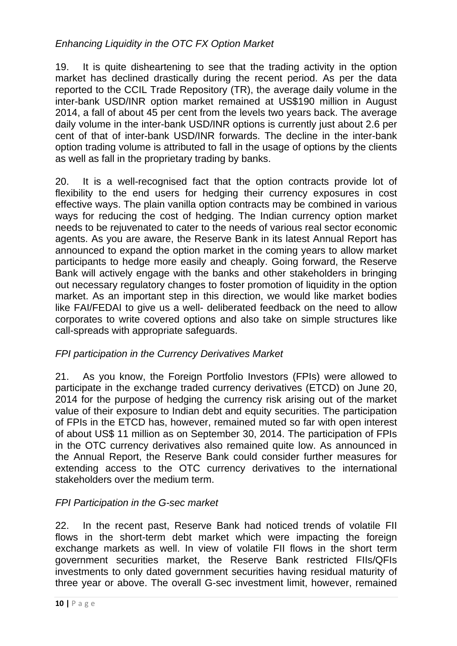# *Enhancing Liquidity in the OTC FX Option Market*

19. It is quite disheartening to see that the trading activity in the option market has declined drastically during the recent period. As per the data reported to the CCIL Trade Repository (TR), the average daily volume in the inter-bank USD/INR option market remained at US\$190 million in August 2014, a fall of about 45 per cent from the levels two years back. The average daily volume in the inter-bank USD/INR options is currently just about 2.6 per cent of that of inter-bank USD/INR forwards. The decline in the inter-bank option trading volume is attributed to fall in the usage of options by the clients as well as fall in the proprietary trading by banks.

20. It is a well-recognised fact that the option contracts provide lot of flexibility to the end users for hedging their currency exposures in cost effective ways. The plain vanilla option contracts may be combined in various ways for reducing the cost of hedging. The Indian currency option market needs to be rejuvenated to cater to the needs of various real sector economic agents. As you are aware, the Reserve Bank in its latest Annual Report has announced to expand the option market in the coming years to allow market participants to hedge more easily and cheaply. Going forward, the Reserve Bank will actively engage with the banks and other stakeholders in bringing out necessary regulatory changes to foster promotion of liquidity in the option market. As an important step in this direction, we would like market bodies like FAI/FEDAI to give us a well- deliberated feedback on the need to allow corporates to write covered options and also take on simple structures like call-spreads with appropriate safeguards.

## *FPI participation in the Currency Derivatives Market*

21. As you know, the Foreign Portfolio Investors (FPIs) were allowed to participate in the exchange traded currency derivatives (ETCD) on June 20, 2014 for the purpose of hedging the currency risk arising out of the market value of their exposure to Indian debt and equity securities. The participation of FPIs in the ETCD has, however, remained muted so far with open interest of about US\$ 11 million as on September 30, 2014. The participation of FPIs in the OTC currency derivatives also remained quite low. As announced in the Annual Report, the Reserve Bank could consider further measures for extending access to the OTC currency derivatives to the international stakeholders over the medium term.

## *FPI Participation in the G-sec market*

22. In the recent past, Reserve Bank had noticed trends of volatile FII flows in the short-term debt market which were impacting the foreign exchange markets as well. In view of volatile FII flows in the short term government securities market, the Reserve Bank restricted FIIs/QFIs investments to only dated government securities having residual maturity of three year or above. The overall G-sec investment limit, however, remained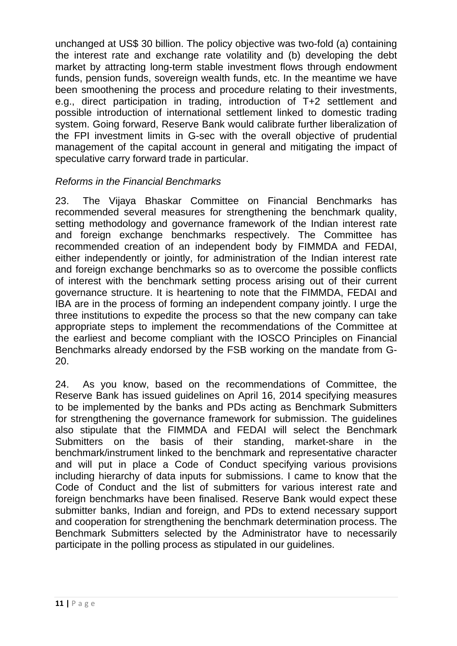unchanged at US\$ 30 billion. The policy objective was two-fold (a) containing the interest rate and exchange rate volatility and (b) developing the debt market by attracting long-term stable investment flows through endowment funds, pension funds, sovereign wealth funds, etc. In the meantime we have been smoothening the process and procedure relating to their investments, e.g., direct participation in trading, introduction of T+2 settlement and possible introduction of international settlement linked to domestic trading system. Going forward, Reserve Bank would calibrate further liberalization of the FPI investment limits in G-sec with the overall objective of prudential management of the capital account in general and mitigating the impact of speculative carry forward trade in particular.

### *Reforms in the Financial Benchmarks*

23. The Vijaya Bhaskar Committee on Financial Benchmarks has recommended several measures for strengthening the benchmark quality, setting methodology and governance framework of the Indian interest rate and foreign exchange benchmarks respectively. The Committee has recommended creation of an independent body by FIMMDA and FEDAI, either independently or jointly, for administration of the Indian interest rate and foreign exchange benchmarks so as to overcome the possible conflicts of interest with the benchmark setting process arising out of their current governance structure. It is heartening to note that the FIMMDA, FEDAI and IBA are in the process of forming an independent company jointly. I urge the three institutions to expedite the process so that the new company can take appropriate steps to implement the recommendations of the Committee at the earliest and become compliant with the IOSCO Principles on Financial Benchmarks already endorsed by the FSB working on the mandate from G-20.

24. As you know, based on the recommendations of Committee, the Reserve Bank has issued guidelines on April 16, 2014 specifying measures to be implemented by the banks and PDs acting as Benchmark Submitters for strengthening the governance framework for submission. The guidelines also stipulate that the FIMMDA and FEDAI will select the Benchmark Submitters on the basis of their standing, market-share in the benchmark/instrument linked to the benchmark and representative character and will put in place a Code of Conduct specifying various provisions including hierarchy of data inputs for submissions. I came to know that the Code of Conduct and the list of submitters for various interest rate and foreign benchmarks have been finalised. Reserve Bank would expect these submitter banks, Indian and foreign, and PDs to extend necessary support and cooperation for strengthening the benchmark determination process. The Benchmark Submitters selected by the Administrator have to necessarily participate in the polling process as stipulated in our guidelines.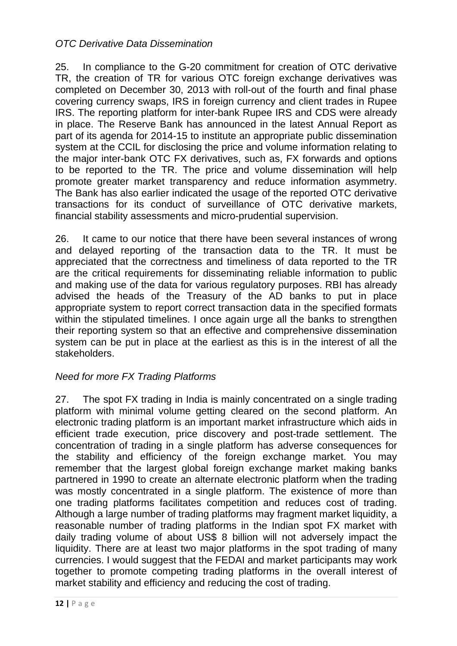### *OTC Derivative Data Dissemination*

25. In compliance to the G-20 commitment for creation of OTC derivative TR, the creation of TR for various OTC foreign exchange derivatives was completed on December 30, 2013 with roll-out of the fourth and final phase covering currency swaps, IRS in foreign currency and client trades in Rupee IRS. The reporting platform for inter-bank Rupee IRS and CDS were already in place. The Reserve Bank has announced in the latest Annual Report as part of its agenda for 2014-15 to institute an appropriate public dissemination system at the CCIL for disclosing the price and volume information relating to the major inter-bank OTC FX derivatives, such as, FX forwards and options to be reported to the TR. The price and volume dissemination will help promote greater market transparency and reduce information asymmetry. The Bank has also earlier indicated the usage of the reported OTC derivative transactions for its conduct of surveillance of OTC derivative markets, financial stability assessments and micro-prudential supervision.

26. It came to our notice that there have been several instances of wrong and delayed reporting of the transaction data to the TR. It must be appreciated that the correctness and timeliness of data reported to the TR are the critical requirements for disseminating reliable information to public and making use of the data for various regulatory purposes. RBI has already advised the heads of the Treasury of the AD banks to put in place appropriate system to report correct transaction data in the specified formats within the stipulated timelines. I once again urge all the banks to strengthen their reporting system so that an effective and comprehensive dissemination system can be put in place at the earliest as this is in the interest of all the stakeholders.

## *Need for more FX Trading Platforms*

27. The spot FX trading in India is mainly concentrated on a single trading platform with minimal volume getting cleared on the second platform. An electronic trading platform is an important market infrastructure which aids in efficient trade execution, price discovery and post-trade settlement. The concentration of trading in a single platform has adverse consequences for the stability and efficiency of the foreign exchange market. You may remember that the largest global foreign exchange market making banks partnered in 1990 to create an alternate electronic platform when the trading was mostly concentrated in a single platform. The existence of more than one trading platforms facilitates competition and reduces cost of trading. Although a large number of trading platforms may fragment market liquidity, a reasonable number of trading platforms in the Indian spot FX market with daily trading volume of about US\$ 8 billion will not adversely impact the liquidity. There are at least two major platforms in the spot trading of many currencies. I would suggest that the FEDAI and market participants may work together to promote competing trading platforms in the overall interest of market stability and efficiency and reducing the cost of trading.